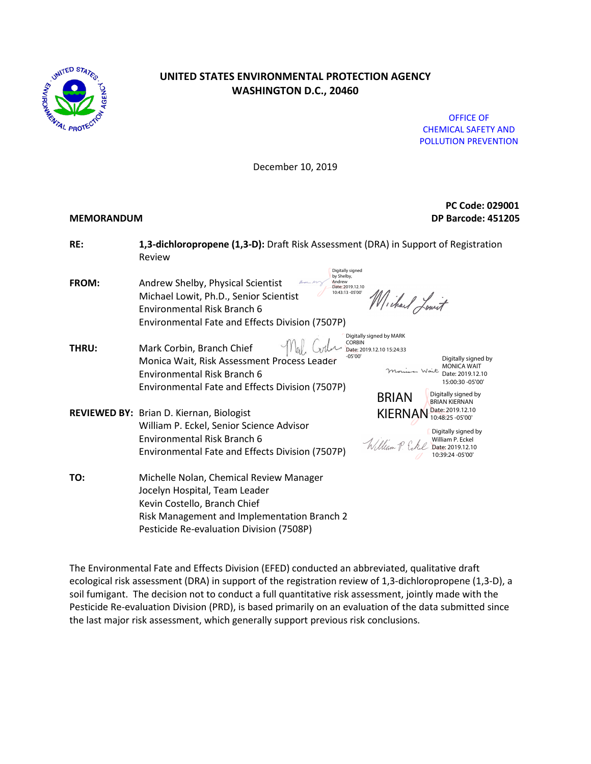

# **UNITED STATES ENVIRONMENTAL PROTECTION AGENCY WASHINGTON D.C., 20460**

OFFICE OF CHEMICAL SAFETY AND POLLUTION PREVENTION

December 10, 2019

 **PC Code: 029001 MEMORANDUM DP Barcode: 451205**

| RE:          | 1,3-dichloropropene (1,3-D): Draft Risk Assessment (DRA) in Support of Registration<br>Review                                                                                                                                                                                                                                                                                                                        |
|--------------|----------------------------------------------------------------------------------------------------------------------------------------------------------------------------------------------------------------------------------------------------------------------------------------------------------------------------------------------------------------------------------------------------------------------|
| <b>FROM:</b> | Digitally signed<br>by Shelby,<br>Andrew Shelby, Physical Scientist<br>Andrew<br>Date: 2019.12.10<br>10:43:13 -05'00'<br>Michael Lowit, Ph.D., Senior Scientist<br>Wichard Lowit<br>Environmental Risk Branch 6<br>Environmental Fate and Effects Division (7507P)                                                                                                                                                   |
| <b>THRU:</b> | Digitally signed by MARK<br><b>CORBIN</b><br>Mark Corbin, Branch Chief<br>Date: 2019.12.10 15:24:33<br>$-05'00'$<br>Digitally signed by<br>Monica Wait, Risk Assessment Process Leader<br><b>MONICA WAIT</b><br>Monica Wait<br>Environmental Risk Branch 6<br>Date: 2019.12.10<br>15:00:30 -05'00'<br>Environmental Fate and Effects Division (7507P)<br>Digitally signed by<br><b>BRIAN</b><br><b>BRIAN KIERNAN</b> |
|              | Date: 2019.12.10<br><b>KIERNAN</b><br>REVIEWED BY: Brian D. Kiernan, Biologist<br>10:48:25 -05'00'<br>William P. Eckel, Senior Science Advisor<br>Digitally signed by<br>Environmental Risk Branch 6<br>William P. Eckel<br>William P. Cokel Date: 2019.12.10<br>Environmental Fate and Effects Division (7507P)<br>10:39:24 - 05'00'                                                                                |
| TO:          | Michelle Nolan, Chemical Review Manager<br>Jocelyn Hospital, Team Leader<br>Kevin Costello, Branch Chief<br>Risk Management and Implementation Branch 2<br>Pesticide Re-evaluation Division (7508P)                                                                                                                                                                                                                  |

The Environmental Fate and Effects Division (EFED) conducted an abbreviated, qualitative draft ecological risk assessment (DRA) in support of the registration review of 1,3-dichloropropene (1,3-D), a soil fumigant. The decision not to conduct a full quantitative risk assessment, jointly made with the Pesticide Re-evaluation Division (PRD), is based primarily on an evaluation of the data submitted since the last major risk assessment, which generally support previous risk conclusions.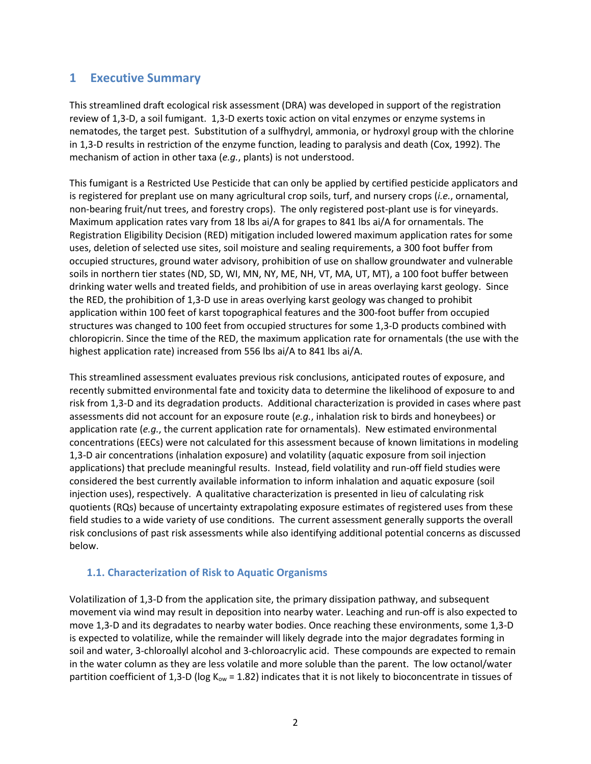# **1 Executive Summary**

This streamlined draft ecological risk assessment (DRA) was developed in support of the registration review of 1,3-D, a soil fumigant. 1,3-D exerts toxic action on vital enzymes or enzyme systems in nematodes, the target pest. Substitution of a sulfhydryl, ammonia, or hydroxyl group with the chlorine in 1,3-D results in restriction of the enzyme function, leading to paralysis and death (Cox, 1992). The mechanism of action in other taxa (*e.g.*, plants) is not understood.

This fumigant is a Restricted Use Pesticide that can only be applied by certified pesticide applicators and is registered for preplant use on many agricultural crop soils, turf, and nursery crops (*i.e.*, ornamental, non-bearing fruit/nut trees, and forestry crops). The only registered post-plant use is for vineyards. Maximum application rates vary from 18 lbs ai/A for grapes to 841 lbs ai/A for ornamentals. The Registration Eligibility Decision (RED) mitigation included lowered maximum application rates for some uses, deletion of selected use sites, soil moisture and sealing requirements, a 300 foot buffer from occupied structures, ground water advisory, prohibition of use on shallow groundwater and vulnerable soils in northern tier states (ND, SD, WI, MN, NY, ME, NH, VT, MA, UT, MT), a 100 foot buffer between drinking water wells and treated fields, and prohibition of use in areas overlaying karst geology. Since the RED, the prohibition of 1,3-D use in areas overlying karst geology was changed to prohibit application within 100 feet of karst topographical features and the 300-foot buffer from occupied structures was changed to 100 feet from occupied structures for some 1,3-D products combined with chloropicrin. Since the time of the RED, the maximum application rate for ornamentals (the use with the highest application rate) increased from 556 lbs ai/A to 841 lbs ai/A.

This streamlined assessment evaluates previous risk conclusions, anticipated routes of exposure, and recently submitted environmental fate and toxicity data to determine the likelihood of exposure to and risk from 1,3-D and its degradation products. Additional characterization is provided in cases where past assessments did not account for an exposure route (*e.g.*, inhalation risk to birds and honeybees) or application rate (*e.g.*, the current application rate for ornamentals). New estimated environmental concentrations (EECs) were not calculated for this assessment because of known limitations in modeling 1,3-D air concentrations (inhalation exposure) and volatility (aquatic exposure from soil injection applications) that preclude meaningful results. Instead, field volatility and run-off field studies were considered the best currently available information to inform inhalation and aquatic exposure (soil injection uses), respectively. A qualitative characterization is presented in lieu of calculating risk quotients (RQs) because of uncertainty extrapolating exposure estimates of registered uses from these field studies to a wide variety of use conditions. The current assessment generally supports the overall risk conclusions of past risk assessments while also identifying additional potential concerns as discussed below.

#### **1.1. Characterization of Risk to Aquatic Organisms**

Volatilization of 1,3-D from the application site, the primary dissipation pathway, and subsequent movement via wind may result in deposition into nearby water. Leaching and run-off is also expected to move 1,3-D and its degradates to nearby water bodies. Once reaching these environments, some 1,3-D is expected to volatilize, while the remainder will likely degrade into the major degradates forming in soil and water, 3-chloroallyl alcohol and 3-chloroacrylic acid. These compounds are expected to remain in the water column as they are less volatile and more soluble than the parent. The low octanol/water partition coefficient of 1,3-D (log K<sub>ow</sub> = 1.82) indicates that it is not likely to bioconcentrate in tissues of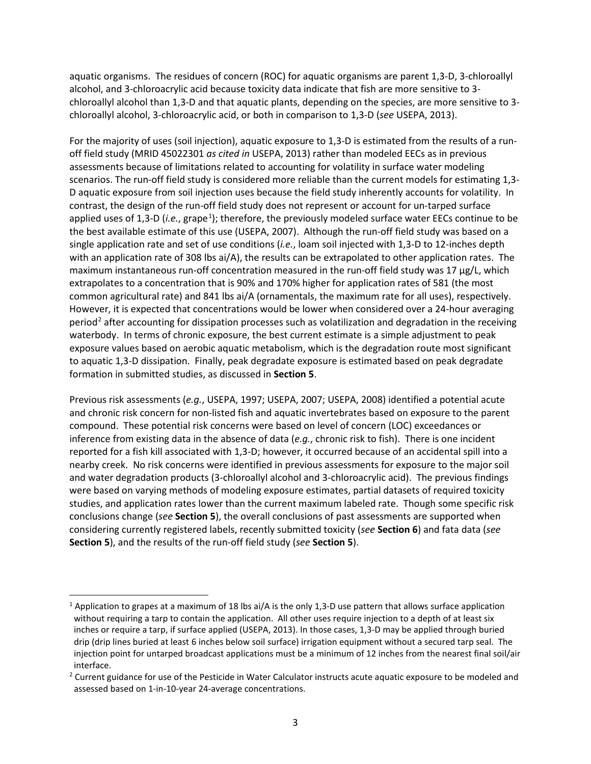aquatic organisms. The residues of concern (ROC) for aquatic organisms are parent 1,3-D, 3-chloroallyl alcohol, and 3-chloroacrylic acid because toxicity data indicate that fish are more sensitive to 3 chloroallyl alcohol than 1,3-D and that aquatic plants, depending on the species, are more sensitive to 3 chloroallyl alcohol, 3-chloroacrylic acid, or both in comparison to 1,3-D (*see* USEPA, 2013).

For the majority of uses (soil injection), aquatic exposure to 1,3-D is estimated from the results of a runoff field study (MRID 45022301 *as cited in* USEPA, 2013) rather than modeled EECs as in previous assessments because of limitations related to accounting for volatility in surface water modeling scenarios. The run-off field study is considered more reliable than the current models for estimating 1,3- D aquatic exposure from soil injection uses because the field study inherently accounts for volatility. In contrast, the design of the run-off field study does not represent or account for un-tarped surface applied uses of [1](#page-2-0),3-D (i.e., grape<sup>1</sup>); therefore, the previously modeled surface water EECs continue to be the best available estimate of this use (USEPA, 2007). Although the run-off field study was based on a single application rate and set of use conditions (*i.e.*, loam soil injected with 1,3-D to 12-inches depth with an application rate of 308 lbs ai/A), the results can be extrapolated to other application rates. The maximum instantaneous run-off concentration measured in the run-off field study was 17 µg/L, which extrapolates to a concentration that is 90% and 170% higher for application rates of 581 (the most common agricultural rate) and 841 lbs ai/A (ornamentals, the maximum rate for all uses), respectively. However, it is expected that concentrations would be lower when considered over a 24-hour averaging period<sup>[2](#page-2-1)</sup> after accounting for dissipation processes such as volatilization and degradation in the receiving waterbody. In terms of chronic exposure, the best current estimate is a simple adjustment to peak exposure values based on aerobic aquatic metabolism, which is the degradation route most significant to aquatic 1,3-D dissipation. Finally, peak degradate exposure is estimated based on peak degradate formation in submitted studies, as discussed in **Section 5**.

Previous risk assessments (*e.g.*, USEPA, 1997; USEPA, 2007; USEPA, 2008) identified a potential acute and chronic risk concern for non-listed fish and aquatic invertebrates based on exposure to the parent compound. These potential risk concerns were based on level of concern (LOC) exceedances or inference from existing data in the absence of data (*e.g.*, chronic risk to fish). There is one incident reported for a fish kill associated with 1,3-D; however, it occurred because of an accidental spill into a nearby creek. No risk concerns were identified in previous assessments for exposure to the major soil and water degradation products (3-chloroallyl alcohol and 3-chloroacrylic acid). The previous findings were based on varying methods of modeling exposure estimates, partial datasets of required toxicity studies, and application rates lower than the current maximum labeled rate. Though some specific risk conclusions change (*see* **Section 5**), the overall conclusions of past assessments are supported when considering currently registered labels, recently submitted toxicity (*see* **Section 6**) and fata data (*see* **Section 5**), and the results of the run-off field study (*see* **Section 5**).

 $\overline{a}$ 

<span id="page-2-0"></span><sup>&</sup>lt;sup>1</sup> Application to grapes at a maximum of 18 lbs ai/A is the only 1,3-D use pattern that allows surface application without requiring a tarp to contain the application. All other uses require injection to a depth of at least six inches or require a tarp, if surface applied (USEPA, 2013). In those cases, 1,3-D may be applied through buried drip (drip lines buried at least 6 inches below soil surface) irrigation equipment without a secured tarp seal. The injection point for untarped broadcast applications must be a minimum of 12 inches from the nearest final soil/air interface.

<span id="page-2-1"></span><sup>&</sup>lt;sup>2</sup> Current guidance for use of the Pesticide in Water Calculator instructs acute aquatic exposure to be modeled and assessed based on 1-in-10-year 24-average concentrations.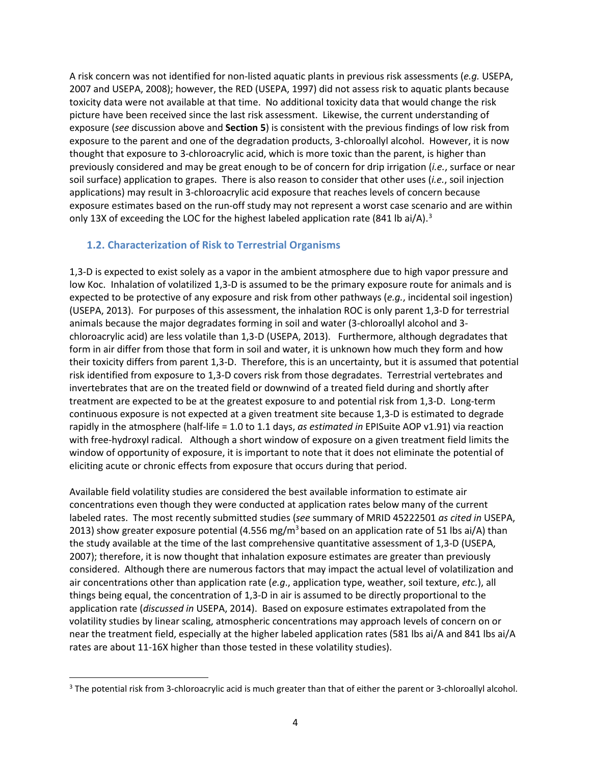A risk concern was not identified for non-listed aquatic plants in previous risk assessments (*e.g.* USEPA, 2007 and USEPA, 2008); however, the RED (USEPA, 1997) did not assess risk to aquatic plants because toxicity data were not available at that time. No additional toxicity data that would change the risk picture have been received since the last risk assessment. Likewise, the current understanding of exposure (*see* discussion above and **Section 5**) is consistent with the previous findings of low risk from exposure to the parent and one of the degradation products, 3-chloroallyl alcohol. However, it is now thought that exposure to 3-chloroacrylic acid, which is more toxic than the parent, is higher than previously considered and may be great enough to be of concern for drip irrigation (*i.e.*, surface or near soil surface) application to grapes. There is also reason to consider that other uses (*i.e.*, soil injection applications) may result in 3-chloroacrylic acid exposure that reaches levels of concern because exposure estimates based on the run-off study may not represent a worst case scenario and are within only 1[3](#page-3-0)X of exceeding the LOC for the highest labeled application rate (841 lb ai/A).<sup>3</sup>

### **1.2. Characterization of Risk to Terrestrial Organisms**

1,3-D is expected to exist solely as a vapor in the ambient atmosphere due to high vapor pressure and low Koc. Inhalation of volatilized 1,3-D is assumed to be the primary exposure route for animals and is expected to be protective of any exposure and risk from other pathways (*e.g.*, incidental soil ingestion) (USEPA, 2013). For purposes of this assessment, the inhalation ROC is only parent 1,3-D for terrestrial animals because the major degradates forming in soil and water (3-chloroallyl alcohol and 3 chloroacrylic acid) are less volatile than 1,3-D (USEPA, 2013). Furthermore, although degradates that form in air differ from those that form in soil and water, it is unknown how much they form and how their toxicity differs from parent 1,3-D. Therefore, this is an uncertainty, but it is assumed that potential risk identified from exposure to 1,3-D covers risk from those degradates. Terrestrial vertebrates and invertebrates that are on the treated field or downwind of a treated field during and shortly after treatment are expected to be at the greatest exposure to and potential risk from 1,3-D. Long-term continuous exposure is not expected at a given treatment site because 1,3-D is estimated to degrade rapidly in the atmosphere (half-life = 1.0 to 1.1 days, *as estimated in* EPISuite AOP v1.91) via reaction with free-hydroxyl radical. Although a short window of exposure on a given treatment field limits the window of opportunity of exposure, it is important to note that it does not eliminate the potential of eliciting acute or chronic effects from exposure that occurs during that period.

Available field volatility studies are considered the best available information to estimate air concentrations even though they were conducted at application rates below many of the current labeled rates. The most recently submitted studies (*see* summary of MRID 45222501 *as cited in* USEPA, 2013) show greater exposure potential (4.556 mg/m<sup>3</sup> based on an application rate of 51 lbs ai/A) than the study available at the time of the last comprehensive quantitative assessment of 1,3-D (USEPA, 2007); therefore, it is now thought that inhalation exposure estimates are greater than previously considered. Although there are numerous factors that may impact the actual level of volatilization and air concentrations other than application rate (*e.g*., application type, weather, soil texture, *etc.*), all things being equal, the concentration of 1,3-D in air is assumed to be directly proportional to the application rate (*discussed in* USEPA, 2014). Based on exposure estimates extrapolated from the volatility studies by linear scaling, atmospheric concentrations may approach levels of concern on or near the treatment field, especially at the higher labeled application rates (581 lbs ai/A and 841 lbs ai/A rates are about 11-16X higher than those tested in these volatility studies).

<span id="page-3-0"></span> $\overline{a}$ <sup>3</sup> The potential risk from 3-chloroacrylic acid is much greater than that of either the parent or 3-chloroallyl alcohol.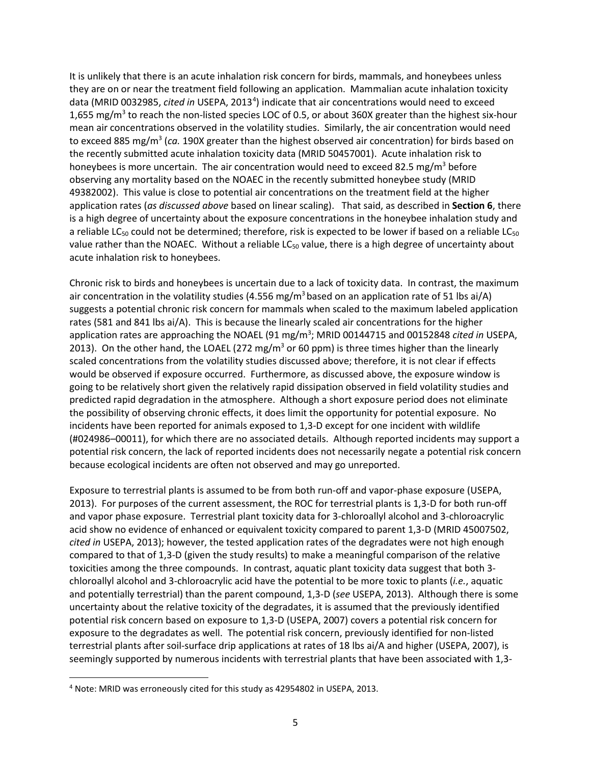It is unlikely that there is an acute inhalation risk concern for birds, mammals, and honeybees unless they are on or near the treatment field following an application. Mammalian acute inhalation toxicity data (MRID 0032985, cited in USEPA, 2013<sup>[4](#page-4-0)</sup>) indicate that air concentrations would need to exceed 1,655 mg/m<sup>3</sup> to reach the non-listed species LOC of 0.5, or about 360X greater than the highest six-hour mean air concentrations observed in the volatility studies. Similarly, the air concentration would need to exceed 885 mg/m<sup>3</sup> (ca. 190X greater than the highest observed air concentration) for birds based on the recently submitted acute inhalation toxicity data (MRID 50457001). Acute inhalation risk to honeybees is more uncertain. The air concentration would need to exceed 82.5 mg/m<sup>3</sup> before observing any mortality based on the NOAEC in the recently submitted honeybee study (MRID 49382002). This value is close to potential air concentrations on the treatment field at the higher application rates (*as discussed above* based on linear scaling). That said, as described in **Section 6**, there is a high degree of uncertainty about the exposure concentrations in the honeybee inhalation study and a reliable LC<sub>50</sub> could not be determined; therefore, risk is expected to be lower if based on a reliable LC<sub>50</sub> value rather than the NOAEC. Without a reliable  $LC_{50}$  value, there is a high degree of uncertainty about acute inhalation risk to honeybees.

Chronic risk to birds and honeybees is uncertain due to a lack of toxicity data. In contrast, the maximum air concentration in the volatility studies (4.556 mg/m<sup>3</sup> based on an application rate of 51 lbs ai/A) suggests a potential chronic risk concern for mammals when scaled to the maximum labeled application rates (581 and 841 lbs ai/A). This is because the linearly scaled air concentrations for the higher application rates are approaching the NOAEL (91 mg/m<sup>3</sup>; MRID 00144715 and 00152848 *cited in* USEPA, 2013). On the other hand, the LOAEL (272 mg/m<sup>3</sup> or 60 ppm) is three times higher than the linearly scaled concentrations from the volatility studies discussed above; therefore, it is not clear if effects would be observed if exposure occurred. Furthermore, as discussed above, the exposure window is going to be relatively short given the relatively rapid dissipation observed in field volatility studies and predicted rapid degradation in the atmosphere. Although a short exposure period does not eliminate the possibility of observing chronic effects, it does limit the opportunity for potential exposure. No incidents have been reported for animals exposed to 1,3-D except for one incident with wildlife (#024986–00011), for which there are no associated details. Although reported incidents may support a potential risk concern, the lack of reported incidents does not necessarily negate a potential risk concern because ecological incidents are often not observed and may go unreported.

Exposure to terrestrial plants is assumed to be from both run-off and vapor-phase exposure (USEPA, 2013). For purposes of the current assessment, the ROC for terrestrial plants is 1,3-D for both run-off and vapor phase exposure. Terrestrial plant toxicity data for 3-chloroallyl alcohol and 3-chloroacrylic acid show no evidence of enhanced or equivalent toxicity compared to parent 1,3-D (MRID 45007502, *cited in* USEPA, 2013); however, the tested application rates of the degradates were not high enough compared to that of 1,3-D (given the study results) to make a meaningful comparison of the relative toxicities among the three compounds. In contrast, aquatic plant toxicity data suggest that both 3 chloroallyl alcohol and 3-chloroacrylic acid have the potential to be more toxic to plants (*i.e.*, aquatic and potentially terrestrial) than the parent compound, 1,3-D (*see* USEPA, 2013). Although there is some uncertainty about the relative toxicity of the degradates, it is assumed that the previously identified potential risk concern based on exposure to 1,3-D (USEPA, 2007) covers a potential risk concern for exposure to the degradates as well. The potential risk concern, previously identified for non-listed terrestrial plants after soil-surface drip applications at rates of 18 lbs ai/A and higher (USEPA, 2007), is seemingly supported by numerous incidents with terrestrial plants that have been associated with 1,3-

 $\overline{a}$ 

<span id="page-4-0"></span><sup>4</sup> Note: MRID was erroneously cited for this study as 42954802 in USEPA, 2013.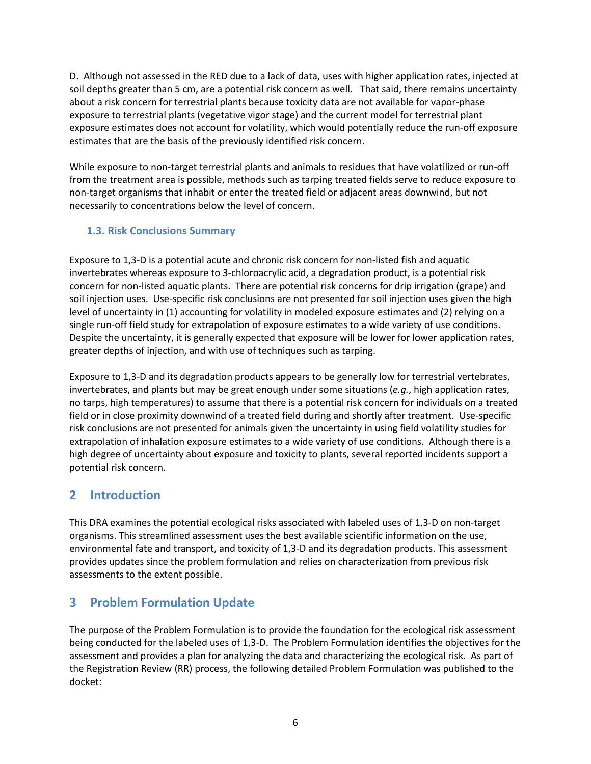D. Although not assessed in the RED due to a lack of data, uses with higher application rates, injected at soil depths greater than 5 cm, are a potential risk concern as well. That said, there remains uncertainty about a risk concern for terrestrial plants because toxicity data are not available for vapor-phase exposure to terrestrial plants (vegetative vigor stage) and the current model for terrestrial plant exposure estimates does not account for volatility, which would potentially reduce the run-off exposure estimates that are the basis of the previously identified risk concern.

While exposure to non-target terrestrial plants and animals to residues that have volatilized or run-off from the treatment area is possible, methods such as tarping treated fields serve to reduce exposure to non-target organisms that inhabit or enter the treated field or adjacent areas downwind, but not necessarily to concentrations below the level of concern.

## **1.3. Risk Conclusions Summary**

Exposure to 1,3-D is a potential acute and chronic risk concern for non-listed fish and aquatic invertebrates whereas exposure to 3-chloroacrylic acid, a degradation product, is a potential risk concern for non-listed aquatic plants. There are potential risk concerns for drip irrigation (grape) and soil injection uses. Use-specific risk conclusions are not presented for soil injection uses given the high level of uncertainty in (1) accounting for volatility in modeled exposure estimates and (2) relying on a single run-off field study for extrapolation of exposure estimates to a wide variety of use conditions. Despite the uncertainty, it is generally expected that exposure will be lower for lower application rates, greater depths of injection, and with use of techniques such as tarping.

Exposure to 1,3-D and its degradation products appears to be generally low for terrestrial vertebrates, invertebrates, and plants but may be great enough under some situations (*e.g.*, high application rates, no tarps, high temperatures) to assume that there is a potential risk concern for individuals on a treated field or in close proximity downwind of a treated field during and shortly after treatment. Use-specific risk conclusions are not presented for animals given the uncertainty in using field volatility studies for extrapolation of inhalation exposure estimates to a wide variety of use conditions. Although there is a high degree of uncertainty about exposure and toxicity to plants, several reported incidents support a potential risk concern.

# **2 Introduction**

This DRA examines the potential ecological risks associated with labeled uses of 1,3-D on non-target organisms. This streamlined assessment uses the best available scientific information on the use, environmental fate and transport, and toxicity of 1,3-D and its degradation products. This assessment provides updates since the problem formulation and relies on characterization from previous risk assessments to the extent possible.

# **3 Problem Formulation Update**

The purpose of the Problem Formulation is to provide the foundation for the ecological risk assessment being conducted for the labeled uses of 1,3-D. The Problem Formulation identifies the objectives for the assessment and provides a plan for analyzing the data and characterizing the ecological risk. As part of the Registration Review (RR) process, the following detailed Problem Formulation was published to the docket: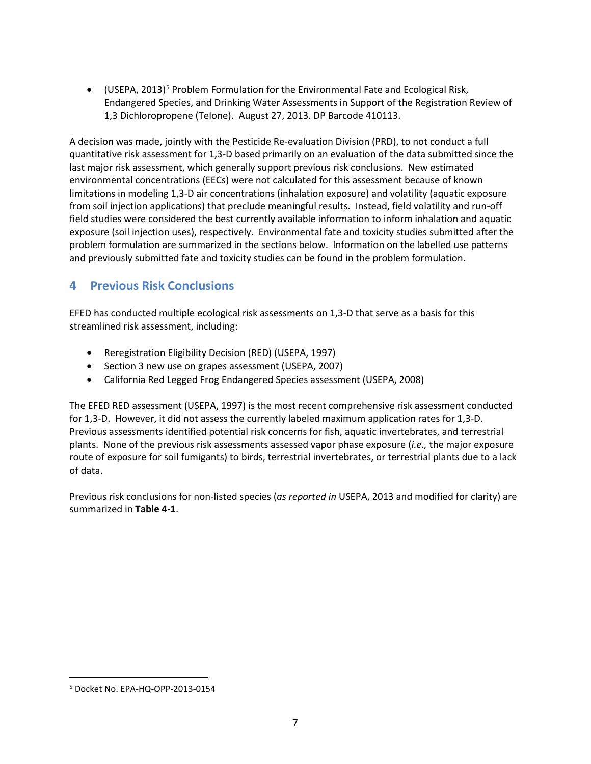• (USEPA, 2013)<sup>[5](#page-6-0)</sup> Problem Formulation for the Environmental Fate and Ecological Risk, Endangered Species, and Drinking Water Assessments in Support of the Registration Review of 1,3 Dichloropropene (Telone). August 27, 2013. DP Barcode 410113.

A decision was made, jointly with the Pesticide Re-evaluation Division (PRD), to not conduct a full quantitative risk assessment for 1,3-D based primarily on an evaluation of the data submitted since the last major risk assessment, which generally support previous risk conclusions. New estimated environmental concentrations (EECs) were not calculated for this assessment because of known limitations in modeling 1,3-D air concentrations (inhalation exposure) and volatility (aquatic exposure from soil injection applications) that preclude meaningful results. Instead, field volatility and run-off field studies were considered the best currently available information to inform inhalation and aquatic exposure (soil injection uses), respectively. Environmental fate and toxicity studies submitted after the problem formulation are summarized in the sections below. Information on the labelled use patterns and previously submitted fate and toxicity studies can be found in the problem formulation.

# **4 Previous Risk Conclusions**

EFED has conducted multiple ecological risk assessments on 1,3-D that serve as a basis for this streamlined risk assessment, including:

- Reregistration Eligibility Decision (RED) (USEPA, 1997)
- Section 3 new use on grapes assessment (USEPA, 2007)
- California Red Legged Frog Endangered Species assessment (USEPA, 2008)

The EFED RED assessment (USEPA, 1997) is the most recent comprehensive risk assessment conducted for 1,3-D. However, it did not assess the currently labeled maximum application rates for 1,3-D. Previous assessments identified potential risk concerns for fish, aquatic invertebrates, and terrestrial plants. None of the previous risk assessments assessed vapor phase exposure (*i.e.,* the major exposure route of exposure for soil fumigants) to birds, terrestrial invertebrates, or terrestrial plants due to a lack of data.

Previous risk conclusions for non-listed species (*as reported in* USEPA, 2013 and modified for clarity) are summarized in **Table 4-1**.

 $\overline{a}$ 

<span id="page-6-0"></span><sup>5</sup> Docket No. EPA-HQ-OPP-2013-0154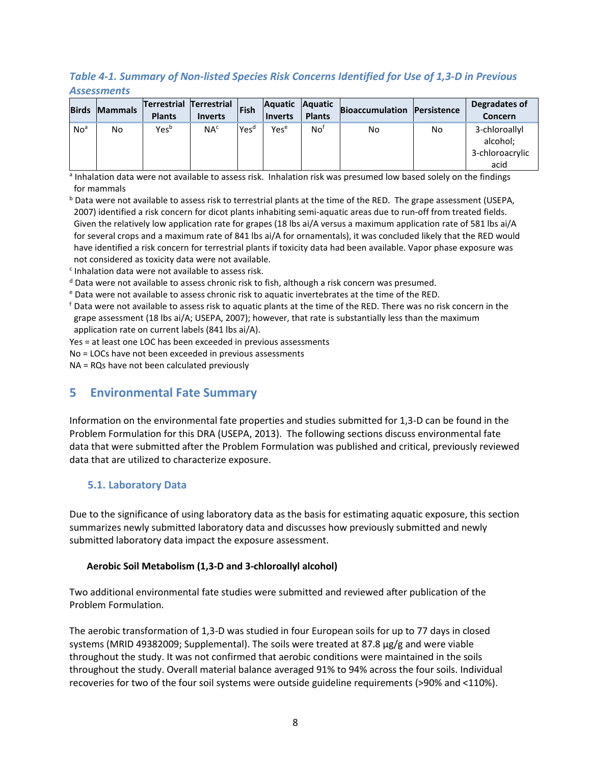## *Table 4-1. Summary of Non-listed Species Risk Concerns Identified for Use of 1,3-D in Previous Assessments*

|                 | <b>Birds Mammals</b> | <b>Terrestrial Terrestrial</b><br><b>Plants</b> | <b>Inverts</b>  | Fish             | <b>Aquatic</b><br><b>Inverts</b> | <b>Aquatic</b><br><b>Plants</b> | <b>Bioaccumulation</b> | Persistence | Degradates of<br><b>Concern</b>                      |
|-----------------|----------------------|-------------------------------------------------|-----------------|------------------|----------------------------------|---------------------------------|------------------------|-------------|------------------------------------------------------|
| No <sup>a</sup> | No                   | Yes <sup>b</sup>                                | NA <sup>c</sup> | Yes <sup>d</sup> | Yese                             | Not                             | No                     | No          | 3-chloroallyl<br>alcohol;<br>3-chloroacrylic<br>acid |

a Inhalation data were not available to assess risk. Inhalation risk was presumed low based solely on the findings for mammals

**b** Data were not available to assess risk to terrestrial plants at the time of the RED. The grape assessment (USEPA, 2007) identified a risk concern for dicot plants inhabiting semi-aquatic areas due to run-off from treated fields. Given the relatively low application rate for grapes (18 lbs ai/A versus a maximum application rate of 581 lbs ai/A for several crops and a maximum rate of 841 lbs ai/A for ornamentals), it was concluded likely that the RED would have identified a risk concern for terrestrial plants if toxicity data had been available. Vapor phase exposure was not considered as toxicity data were not available.

<sup>c</sup> Inhalation data were not available to assess risk.

<sup>d</sup> Data were not available to assess chronic risk to fish, although a risk concern was presumed.

<sup>e</sup> Data were not available to assess chronic risk to aquatic invertebrates at the time of the RED.<br><sup>f</sup> Data were not available to assess risk to aquatic plants at the time of the RED. There was no risk concern in the grape assessment (18 lbs ai/A; USEPA, 2007); however, that rate is substantially less than the maximum application rate on current labels (841 lbs ai/A).

Yes = at least one LOC has been exceeded in previous assessments

No = LOCs have not been exceeded in previous assessments

NA = RQs have not been calculated previously

# **5 Environmental Fate Summary**

Information on the environmental fate properties and studies submitted for 1,3-D can be found in the Problem Formulation for this DRA (USEPA, 2013). The following sections discuss environmental fate data that were submitted after the Problem Formulation was published and critical, previously reviewed data that are utilized to characterize exposure.

### **5.1. Laboratory Data**

Due to the significance of using laboratory data as the basis for estimating aquatic exposure, this section summarizes newly submitted laboratory data and discusses how previously submitted and newly submitted laboratory data impact the exposure assessment.

#### **Aerobic Soil Metabolism (1,3-D and 3-chloroallyl alcohol)**

Two additional environmental fate studies were submitted and reviewed after publication of the Problem Formulation.

The aerobic transformation of 1,3-D was studied in four European soils for up to 77 days in closed systems (MRID 49382009; Supplemental). The soils were treated at 87.8 μg/g and were viable throughout the study. It was not confirmed that aerobic conditions were maintained in the soils throughout the study. Overall material balance averaged 91% to 94% across the four soils. Individual recoveries for two of the four soil systems were outside guideline requirements (>90% and <110%).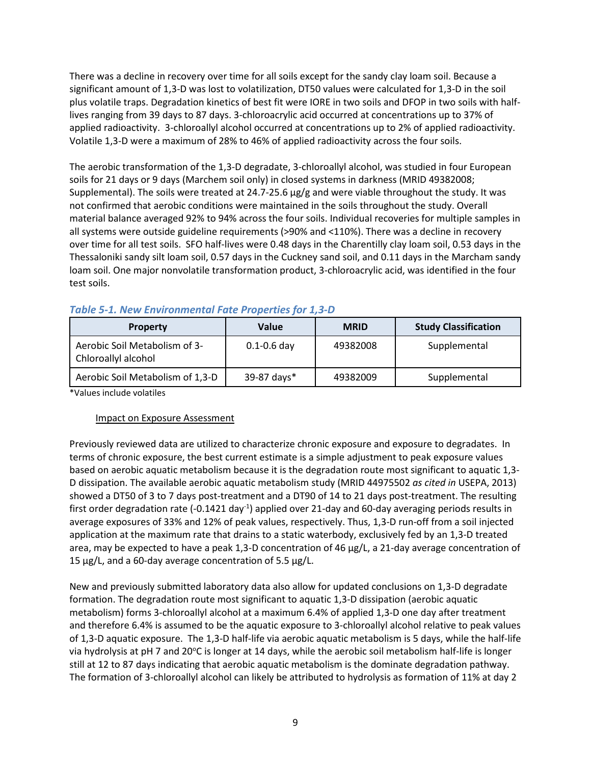There was a decline in recovery over time for all soils except for the sandy clay loam soil. Because a significant amount of 1,3-D was lost to volatilization, DT50 values were calculated for 1,3-D in the soil plus volatile traps. Degradation kinetics of best fit were IORE in two soils and DFOP in two soils with halflives ranging from 39 days to 87 days. 3-chloroacrylic acid occurred at concentrations up to 37% of applied radioactivity. 3-chloroallyl alcohol occurred at concentrations up to 2% of applied radioactivity. Volatile 1,3-D were a maximum of 28% to 46% of applied radioactivity across the four soils.

The aerobic transformation of the 1,3-D degradate, 3-chloroallyl alcohol, was studied in four European soils for 21 days or 9 days (Marchem soil only) in closed systems in darkness (MRID 49382008; Supplemental). The soils were treated at 24.7-25.6  $\mu$ g/g and were viable throughout the study. It was not confirmed that aerobic conditions were maintained in the soils throughout the study. Overall material balance averaged 92% to 94% across the four soils. Individual recoveries for multiple samples in all systems were outside guideline requirements (>90% and <110%). There was a decline in recovery over time for all test soils. SFO half-lives were 0.48 days in the Charentilly clay loam soil, 0.53 days in the Thessaloniki sandy silt loam soil, 0.57 days in the Cuckney sand soil, and 0.11 days in the Marcham sandy loam soil. One major nonvolatile transformation product, 3-chloroacrylic acid, was identified in the four test soils.

| <b>Property</b>                                      | Value           | <b>MRID</b> | <b>Study Classification</b> |
|------------------------------------------------------|-----------------|-------------|-----------------------------|
| Aerobic Soil Metabolism of 3-<br>Chloroallyl alcohol | $0.1 - 0.6$ day | 49382008    | Supplemental                |
| Aerobic Soil Metabolism of 1,3-D                     | 39-87 days*     | 49382009    | Supplemental                |

### *Table 5-1. New Environmental Fate Properties for 1,3-D*

\*Values include volatiles

### Impact on Exposure Assessment

Previously reviewed data are utilized to characterize chronic exposure and exposure to degradates. In terms of chronic exposure, the best current estimate is a simple adjustment to peak exposure values based on aerobic aquatic metabolism because it is the degradation route most significant to aquatic 1,3- D dissipation. The available aerobic aquatic metabolism study (MRID 44975502 *as cited in* USEPA, 2013) showed a DT50 of 3 to 7 days post-treatment and a DT90 of 14 to 21 days post-treatment. The resulting first order degradation rate (-0.1421 day<sup>-1</sup>) applied over 21-day and 60-day averaging periods results in average exposures of 33% and 12% of peak values, respectively. Thus, 1,3-D run-off from a soil injected application at the maximum rate that drains to a static waterbody, exclusively fed by an 1,3-D treated area, may be expected to have a peak 1,3-D concentration of 46 µg/L, a 21-day average concentration of 15 µg/L, and a 60-day average concentration of 5.5 µg/L.

New and previously submitted laboratory data also allow for updated conclusions on 1,3-D degradate formation. The degradation route most significant to aquatic 1,3-D dissipation (aerobic aquatic metabolism) forms 3-chloroallyl alcohol at a maximum 6.4% of applied 1,3-D one day after treatment and therefore 6.4% is assumed to be the aquatic exposure to 3-chloroallyl alcohol relative to peak values of 1,3-D aquatic exposure. The 1,3-D half-life via aerobic aquatic metabolism is 5 days, while the half-life via hydrolysis at pH 7 and 20°C is longer at 14 days, while the aerobic soil metabolism half-life is longer still at 12 to 87 days indicating that aerobic aquatic metabolism is the dominate degradation pathway. The formation of 3-chloroallyl alcohol can likely be attributed to hydrolysis as formation of 11% at day 2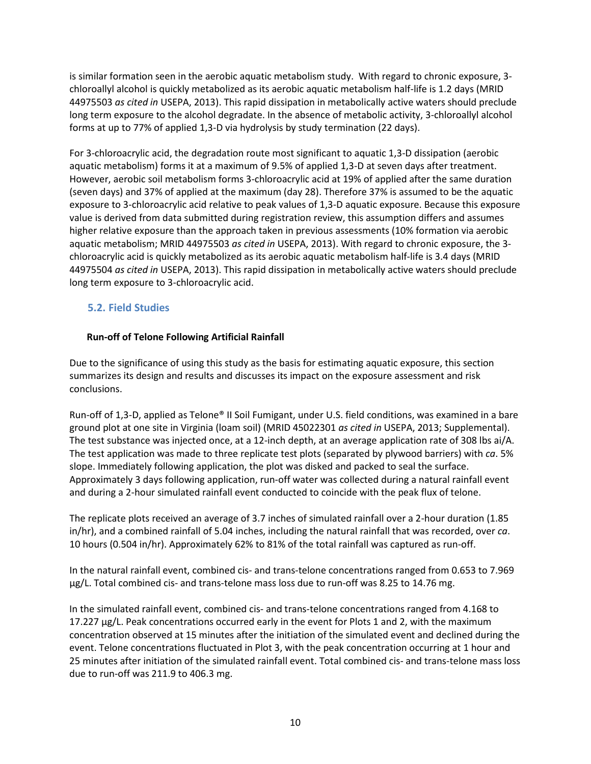is similar formation seen in the aerobic aquatic metabolism study. With regard to chronic exposure, 3 chloroallyl alcohol is quickly metabolized as its aerobic aquatic metabolism half-life is 1.2 days (MRID 44975503 *as cited in* USEPA, 2013). This rapid dissipation in metabolically active waters should preclude long term exposure to the alcohol degradate. In the absence of metabolic activity, 3-chloroallyl alcohol forms at up to 77% of applied 1,3-D via hydrolysis by study termination (22 days).

For 3-chloroacrylic acid, the degradation route most significant to aquatic 1,3-D dissipation (aerobic aquatic metabolism) forms it at a maximum of 9.5% of applied 1,3-D at seven days after treatment. However, aerobic soil metabolism forms 3-chloroacrylic acid at 19% of applied after the same duration (seven days) and 37% of applied at the maximum (day 28). Therefore 37% is assumed to be the aquatic exposure to 3-chloroacrylic acid relative to peak values of 1,3-D aquatic exposure. Because this exposure value is derived from data submitted during registration review, this assumption differs and assumes higher relative exposure than the approach taken in previous assessments (10% formation via aerobic aquatic metabolism; MRID 44975503 *as cited in* USEPA, 2013). With regard to chronic exposure, the 3 chloroacrylic acid is quickly metabolized as its aerobic aquatic metabolism half-life is 3.4 days (MRID 44975504 *as cited in* USEPA, 2013). This rapid dissipation in metabolically active waters should preclude long term exposure to 3-chloroacrylic acid.

## **5.2. Field Studies**

### **Run-off of Telone Following Artificial Rainfall**

Due to the significance of using this study as the basis for estimating aquatic exposure, this section summarizes its design and results and discusses its impact on the exposure assessment and risk conclusions.

Run-off of 1,3-D, applied as Telone® II Soil Fumigant, under U.S. field conditions, was examined in a bare ground plot at one site in Virginia (loam soil) (MRID 45022301 *as cited in* USEPA, 2013; Supplemental). The test substance was injected once, at a 12-inch depth, at an average application rate of 308 lbs ai/A. The test application was made to three replicate test plots (separated by plywood barriers) with *ca*. 5% slope. Immediately following application, the plot was disked and packed to seal the surface. Approximately 3 days following application, run-off water was collected during a natural rainfall event and during a 2-hour simulated rainfall event conducted to coincide with the peak flux of telone.

The replicate plots received an average of 3.7 inches of simulated rainfall over a 2-hour duration (1.85 in/hr), and a combined rainfall of 5.04 inches, including the natural rainfall that was recorded, over *ca*. 10 hours (0.504 in/hr). Approximately 62% to 81% of the total rainfall was captured as run-off.

In the natural rainfall event, combined cis- and trans-telone concentrations ranged from 0.653 to 7.969 µg/L. Total combined cis- and trans-telone mass loss due to run-off was 8.25 to 14.76 mg.

In the simulated rainfall event, combined cis- and trans-telone concentrations ranged from 4.168 to 17.227 µg/L. Peak concentrations occurred early in the event for Plots 1 and 2, with the maximum concentration observed at 15 minutes after the initiation of the simulated event and declined during the event. Telone concentrations fluctuated in Plot 3, with the peak concentration occurring at 1 hour and 25 minutes after initiation of the simulated rainfall event. Total combined cis- and trans-telone mass loss due to run-off was 211.9 to 406.3 mg.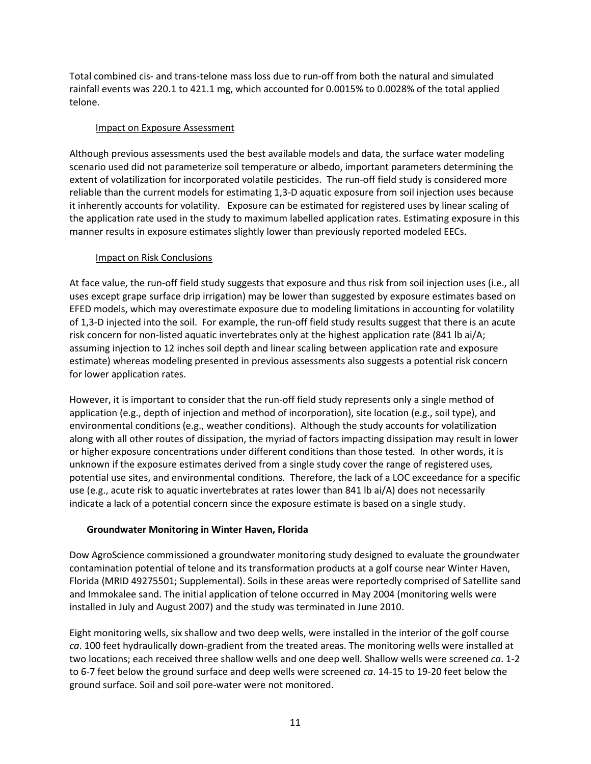Total combined cis- and trans-telone mass loss due to run-off from both the natural and simulated rainfall events was 220.1 to 421.1 mg, which accounted for 0.0015% to 0.0028% of the total applied telone.

#### Impact on Exposure Assessment

Although previous assessments used the best available models and data, the surface water modeling scenario used did not parameterize soil temperature or albedo, important parameters determining the extent of volatilization for incorporated volatile pesticides. The run-off field study is considered more reliable than the current models for estimating 1,3-D aquatic exposure from soil injection uses because it inherently accounts for volatility. Exposure can be estimated for registered uses by linear scaling of the application rate used in the study to maximum labelled application rates. Estimating exposure in this manner results in exposure estimates slightly lower than previously reported modeled EECs.

#### Impact on Risk Conclusions

At face value, the run-off field study suggests that exposure and thus risk from soil injection uses (i.e., all uses except grape surface drip irrigation) may be lower than suggested by exposure estimates based on EFED models, which may overestimate exposure due to modeling limitations in accounting for volatility of 1,3-D injected into the soil. For example, the run-off field study results suggest that there is an acute risk concern for non-listed aquatic invertebrates only at the highest application rate (841 lb ai/A; assuming injection to 12 inches soil depth and linear scaling between application rate and exposure estimate) whereas modeling presented in previous assessments also suggests a potential risk concern for lower application rates.

However, it is important to consider that the run-off field study represents only a single method of application (e.g., depth of injection and method of incorporation), site location (e.g., soil type), and environmental conditions (e.g., weather conditions). Although the study accounts for volatilization along with all other routes of dissipation, the myriad of factors impacting dissipation may result in lower or higher exposure concentrations under different conditions than those tested. In other words, it is unknown if the exposure estimates derived from a single study cover the range of registered uses, potential use sites, and environmental conditions. Therefore, the lack of a LOC exceedance for a specific use (e.g., acute risk to aquatic invertebrates at rates lower than 841 lb ai/A) does not necessarily indicate a lack of a potential concern since the exposure estimate is based on a single study.

### **Groundwater Monitoring in Winter Haven, Florida**

Dow AgroScience commissioned a groundwater monitoring study designed to evaluate the groundwater contamination potential of telone and its transformation products at a golf course near Winter Haven, Florida (MRID 49275501; Supplemental). Soils in these areas were reportedly comprised of Satellite sand and Immokalee sand. The initial application of telone occurred in May 2004 (monitoring wells were installed in July and August 2007) and the study was terminated in June 2010.

Eight monitoring wells, six shallow and two deep wells, were installed in the interior of the golf course *ca*. 100 feet hydraulically down-gradient from the treated areas. The monitoring wells were installed at two locations; each received three shallow wells and one deep well. Shallow wells were screened *ca*. 1-2 to 6-7 feet below the ground surface and deep wells were screened *ca*. 14-15 to 19-20 feet below the ground surface. Soil and soil pore-water were not monitored.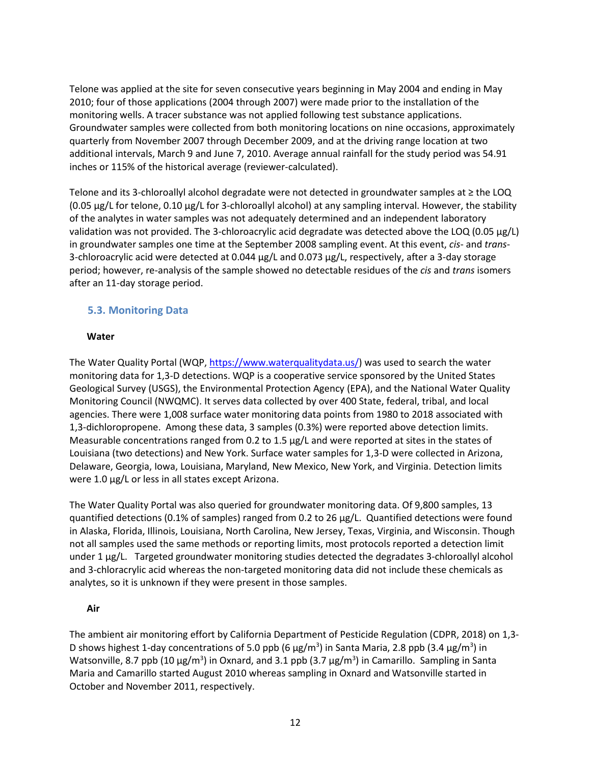Telone was applied at the site for seven consecutive years beginning in May 2004 and ending in May 2010; four of those applications (2004 through 2007) were made prior to the installation of the monitoring wells. A tracer substance was not applied following test substance applications. Groundwater samples were collected from both monitoring locations on nine occasions, approximately quarterly from November 2007 through December 2009, and at the driving range location at two additional intervals, March 9 and June 7, 2010. Average annual rainfall for the study period was 54.91 inches or 115% of the historical average (reviewer-calculated).

Telone and its 3-chloroallyl alcohol degradate were not detected in groundwater samples at ≥ the LOQ (0.05 µg/L for telone, 0.10 µg/L for 3-chloroallyl alcohol) at any sampling interval. However, the stability of the analytes in water samples was not adequately determined and an independent laboratory validation was not provided. The 3-chloroacrylic acid degradate was detected above the LOQ (0.05 µg/L) in groundwater samples one time at the September 2008 sampling event. At this event, *cis*- and *trans*-3-chloroacrylic acid were detected at 0.044 µg/L and 0.073 µg/L, respectively, after a 3-day storage period; however, re-analysis of the sample showed no detectable residues of the *cis* and *trans* isomers after an 11-day storage period.

### **5.3. Monitoring Data**

#### **Water**

The Water Quality Portal (WQP, [https://www.waterqualitydata.us/\)](https://www.waterqualitydata.us/) was used to search the water monitoring data for 1,3-D detections. WQP is a cooperative service sponsored by the United States Geological Survey (USGS), the Environmental Protection Agency (EPA), and the National Water Quality Monitoring Council (NWQMC). It serves data collected by over 400 State, federal, tribal, and local agencies. There were 1,008 surface water monitoring data points from 1980 to 2018 associated with 1,3-dichloropropene. Among these data, 3 samples (0.3%) were reported above detection limits. Measurable concentrations ranged from 0.2 to 1.5 µg/L and were reported at sites in the states of Louisiana (two detections) and New York. Surface water samples for 1,3-D were collected in Arizona, Delaware, Georgia, Iowa, Louisiana, Maryland, New Mexico, New York, and Virginia. Detection limits were 1.0  $\mu$ g/L or less in all states except Arizona.

The Water Quality Portal was also queried for groundwater monitoring data. Of 9,800 samples, 13 quantified detections (0.1% of samples) ranged from 0.2 to 26 µg/L. Quantified detections were found in Alaska, Florida, Illinois, Louisiana, North Carolina, New Jersey, Texas, Virginia, and Wisconsin. Though not all samples used the same methods or reporting limits, most protocols reported a detection limit under 1 µg/L. Targeted groundwater monitoring studies detected the degradates 3-chloroallyl alcohol and 3-chloracrylic acid whereas the non-targeted monitoring data did not include these chemicals as analytes, so it is unknown if they were present in those samples.

#### **Air**

The ambient air monitoring effort by California Department of Pesticide Regulation (CDPR, 2018) on 1,3- D shows highest 1-day concentrations of 5.0 ppb (6  $\mu$ g/m<sup>3</sup>) in Santa Maria, 2.8 ppb (3.4  $\mu$ g/m<sup>3</sup>) in Watsonville, 8.7 ppb (10  $\mu$ g/m<sup>3</sup>) in Oxnard, and 3.1 ppb (3.7  $\mu$ g/m<sup>3</sup>) in Camarillo. Sampling in Santa Maria and Camarillo started August 2010 whereas sampling in Oxnard and Watsonville started in October and November 2011, respectively.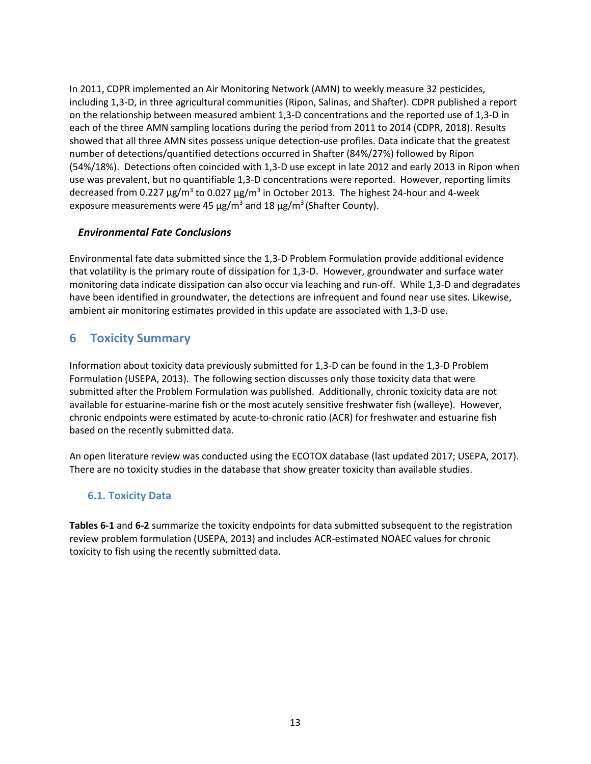In 2011, CDPR implemented an Air Monitoring Network (AMN) to weekly measure 32 pesticides, including 1,3-D, in three agricultural communities (Ripon, Salinas, and Shafter). CDPR published a report on the relationship between measured ambient 1,3-D concentrations and the reported use of 1,3-D in each of the three AMN sampling locations during the period from 2011 to 2014 (CDPR, 2018). Results showed that all three AMN sites possess unique detection-use profiles. Data indicate that the greatest number of detections/quantified detections occurred in Shafter (84%/27%) followed by Ripon (54%/18%). Detections often coincided with 1,3-D use except in late 2012 and early 2013 in Ripon when use was prevalent, but no quantifiable 1,3-D concentrations were reported. However, reporting limits decreased from 0.227  $\mu$ g/m<sup>3</sup> to 0.027  $\mu$ g/m<sup>3</sup> in October 2013. The highest 24-hour and 4-week exposure measurements were 45  $\mu$ g/m<sup>3</sup> and 18  $\mu$ g/m<sup>3</sup> (Shafter County).

### *Environmental Fate Conclusions*

Environmental fate data submitted since the 1,3-D Problem Formulation provide additional evidence that volatility is the primary route of dissipation for 1,3-D. However, groundwater and surface water monitoring data indicate dissipation can also occur via leaching and run-off. While 1,3-D and degradates have been identified in groundwater, the detections are infrequent and found near use sites. Likewise, ambient air monitoring estimates provided in this update are associated with 1,3-D use.

# **6 Toxicity Summary**

Information about toxicity data previously submitted for 1,3-D can be found in the 1,3-D Problem Formulation (USEPA, 2013). The following section discusses only those toxicity data that were submitted after the Problem Formulation was published. Additionally, chronic toxicity data are not available for estuarine-marine fish or the most acutely sensitive freshwater fish (walleye). However, chronic endpoints were estimated by acute-to-chronic ratio (ACR) for freshwater and estuarine fish based on the recently submitted data.

An open literature review was conducted using the ECOTOX database (last updated 2017; USEPA, 2017). There are no toxicity studies in the database that show greater toxicity than available studies.

### **6.1. Toxicity Data**

**Tables 6-1** and **6-2** summarize the toxicity endpoints for data submitted subsequent to the registration review problem formulation (USEPA, 2013) and includes ACR-estimated NOAEC values for chronic toxicity to fish using the recently submitted data.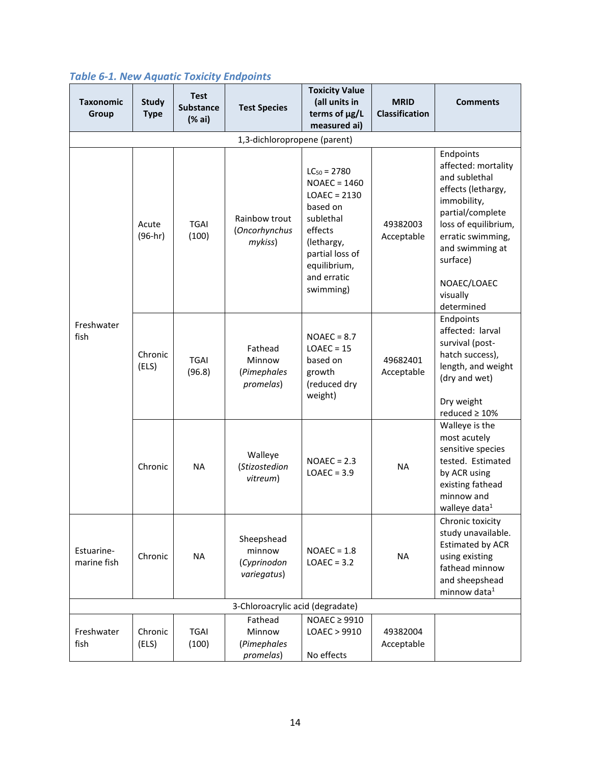| <b>Taxonomic</b><br>Group | <b>Study</b><br><b>Type</b>  | <b>Test</b><br><b>Substance</b><br>(% ai) | <b>Test Species</b>                                | <b>Toxicity Value</b><br>(all units in<br>terms of µg/L<br>measured ai)                                                                                               | <b>MRID</b><br><b>Classification</b> | <b>Comments</b>                                                                                                                                                                                                                 |  |  |  |  |
|---------------------------|------------------------------|-------------------------------------------|----------------------------------------------------|-----------------------------------------------------------------------------------------------------------------------------------------------------------------------|--------------------------------------|---------------------------------------------------------------------------------------------------------------------------------------------------------------------------------------------------------------------------------|--|--|--|--|
|                           | 1,3-dichloropropene (parent) |                                           |                                                    |                                                                                                                                                                       |                                      |                                                                                                                                                                                                                                 |  |  |  |  |
|                           | Acute<br>$(96-hr)$           | <b>TGAI</b><br>(100)                      | Rainbow trout<br>(Oncorhynchus<br>mykiss)          | $LC_{50} = 2780$<br>$NOAEC = 1460$<br>$LOAEC = 2130$<br>based on<br>sublethal<br>effects<br>(lethargy,<br>partial loss of<br>equilibrium,<br>and erratic<br>swimming) | 49382003<br>Acceptable               | Endpoints<br>affected: mortality<br>and sublethal<br>effects (lethargy,<br>immobility,<br>partial/complete<br>loss of equilibrium,<br>erratic swimming,<br>and swimming at<br>surface)<br>NOAEC/LOAEC<br>visually<br>determined |  |  |  |  |
| Freshwater<br>fish        | Chronic<br>(ELS)             | <b>TGAI</b><br>(96.8)                     | Fathead<br>Minnow<br>(Pimephales<br>promelas)      | $NOAEC = 8.7$<br>$LOAEC = 15$<br>based on<br>growth<br>(reduced dry<br>weight)                                                                                        | 49682401<br>Acceptable               | Endpoints<br>affected: larval<br>survival (post-<br>hatch success),<br>length, and weight<br>(dry and wet)<br>Dry weight<br>reduced $\geq 10\%$                                                                                 |  |  |  |  |
|                           | Chronic                      | <b>NA</b>                                 | Walleye<br>(Stizostedion<br>vitreum)               | $NOAEC = 2.3$<br>$LOAEC = 3.9$                                                                                                                                        | <b>NA</b>                            | Walleye is the<br>most acutely<br>sensitive species<br>tested. Estimated<br>by ACR using<br>existing fathead<br>minnow and<br>walleye data <sup>1</sup>                                                                         |  |  |  |  |
| Estuarine-<br>marine fish | Chronic                      | <b>NA</b>                                 | Sheepshead<br>minnow<br>(Cyprinodon<br>variegatus) | $NOAEC = 1.8$<br>$LOAEC = 3.2$                                                                                                                                        | <b>NA</b>                            | Chronic toxicity<br>study unavailable.<br><b>Estimated by ACR</b><br>using existing<br>fathead minnow<br>and sheepshead<br>minnow data <sup>1</sup>                                                                             |  |  |  |  |
|                           |                              |                                           | 3-Chloroacrylic acid (degradate)                   |                                                                                                                                                                       |                                      |                                                                                                                                                                                                                                 |  |  |  |  |
| Freshwater<br>fish        | Chronic<br>(ELS)             | <b>TGAI</b><br>(100)                      | Fathead<br>Minnow<br>(Pimephales<br>promelas)      | $NOAEC \geq 9910$<br>LOAEC > 9910<br>No effects                                                                                                                       | 49382004<br>Acceptable               |                                                                                                                                                                                                                                 |  |  |  |  |

# *Table 6-1. New Aquatic Toxicity Endpoints*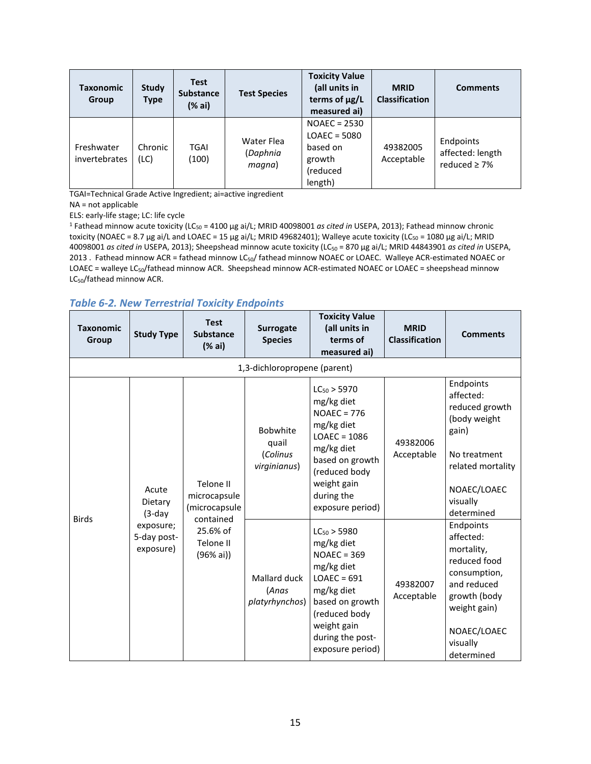| Taxonomic<br><b>Group</b>   | Study<br>Type   | <b>Test</b><br><b>Substance</b><br>(% ai) | <b>Test Species</b>              | <b>Toxicity Value</b><br>(all units in<br>terms of µg/L<br>measured ai)       | <b>MRID</b><br><b>Classification</b> | <b>Comments</b>                                    |
|-----------------------------|-----------------|-------------------------------------------|----------------------------------|-------------------------------------------------------------------------------|--------------------------------------|----------------------------------------------------|
| Freshwater<br>invertebrates | Chronic<br>(LC) | <b>TGAI</b><br>(100)                      | Water Flea<br>(Daphnia<br>magna) | $NOAEC = 2530$<br>$LOAEC = 5080$<br>based on<br>growth<br>(reduced<br>length) | 49382005<br>Acceptable               | Endpoints<br>affected: length<br>reduced $\geq$ 7% |

TGAI=Technical Grade Active Ingredient; ai=active ingredient

NA = not applicable

ELS: early-life stage; LC: life cycle

<sup>1</sup> Fathead minnow acute toxicity (LC<sub>50</sub> = 4100 μg ai/L; MRID 40098001 *as cited in* USEPA, 2013); Fathead minnow chronic toxicity (NOAEC = 8.7 μg ai/L and LOAEC = 15 μg ai/L; MRID 49682401); Walleye acute toxicity (LC<sub>50</sub> = 1080 μg ai/L; MRID 40098001 *as cited in* USEPA, 2013); Sheepshead minnow acute toxicity (LC50 = 870 μg ai/L; MRID 44843901 *as cited in* USEPA, 2013 . Fathead minnow ACR = fathead minnow LC<sub>50</sub>/ fathead minnow NOAEC or LOAEC. Walleye ACR-estimated NOAEC or LOAEC = walleye LC<sub>50</sub>/fathead minnow ACR. Sheepshead minnow ACR-estimated NOAEC or LOAEC = sheepshead minnow LC<sub>50</sub>/fathead minnow ACR.

#### *Table 6-2. New Terrestrial Toxicity Endpoints*

| <b>Taxonomic</b><br>Group    | <b>Study Type</b>                                                      | <b>Test</b><br><b>Substance</b><br>(% ai)                                                    | <b>Surrogate</b><br><b>Species</b>                                                              | <b>Toxicity Value</b><br>(all units in<br>terms of<br>measured ai)                                                                                                                                                                                                                                                                                                            | <b>MRID</b><br><b>Classification</b>             | <b>Comments</b>                                                                                                                                                                                                                                                                                                 |  |  |
|------------------------------|------------------------------------------------------------------------|----------------------------------------------------------------------------------------------|-------------------------------------------------------------------------------------------------|-------------------------------------------------------------------------------------------------------------------------------------------------------------------------------------------------------------------------------------------------------------------------------------------------------------------------------------------------------------------------------|--------------------------------------------------|-----------------------------------------------------------------------------------------------------------------------------------------------------------------------------------------------------------------------------------------------------------------------------------------------------------------|--|--|
| 1,3-dichloropropene (parent) |                                                                        |                                                                                              |                                                                                                 |                                                                                                                                                                                                                                                                                                                                                                               |                                                  |                                                                                                                                                                                                                                                                                                                 |  |  |
| <b>Birds</b>                 | Acute<br>Dietary<br>$(3-day)$<br>exposure;<br>5-day post-<br>exposure) | Telone II<br>microcapsule<br>(microcapsule<br>contained<br>25.6% of<br>Telone II<br>(96% ai) | <b>Bobwhite</b><br>quail<br>(Colinus<br>virginianus)<br>Mallard duck<br>(Anas<br>platyrhynchos) | $LC_{50}$ > 5970<br>mg/kg diet<br>$NOAEC = 776$<br>mg/kg diet<br>$LOAEC = 1086$<br>mg/kg diet<br>based on growth<br>(reduced body<br>weight gain<br>during the<br>exposure period)<br>$LC_{50}$ > 5980<br>mg/kg diet<br>$NOAEC = 369$<br>mg/kg diet<br>$LOAEC = 691$<br>mg/kg diet<br>based on growth<br>(reduced body<br>weight gain<br>during the post-<br>exposure period) | 49382006<br>Acceptable<br>49382007<br>Acceptable | Endpoints<br>affected:<br>reduced growth<br>(body weight<br>gain)<br>No treatment<br>related mortality<br>NOAEC/LOAEC<br>visually<br>determined<br>Endpoints<br>affected:<br>mortality,<br>reduced food<br>consumption,<br>and reduced<br>growth (body<br>weight gain)<br>NOAEC/LOAEC<br>visually<br>determined |  |  |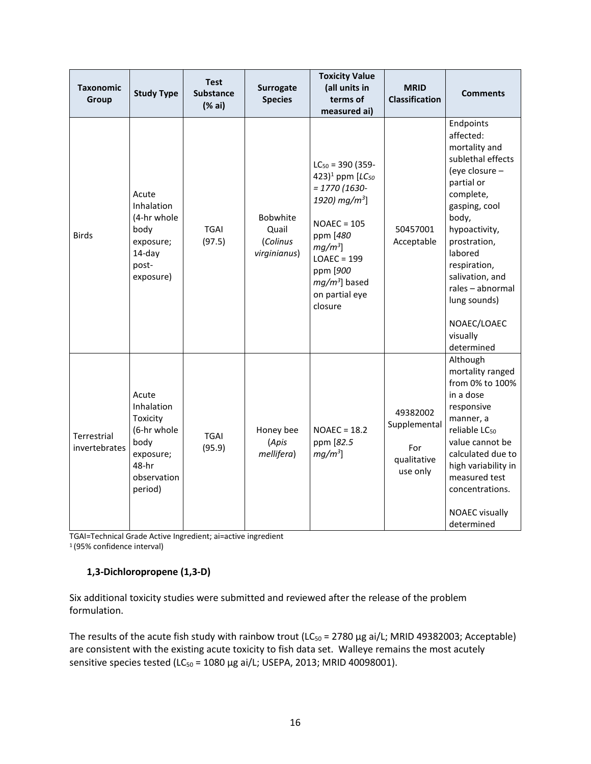| <b>Taxonomic</b><br>Group    | <b>Study Type</b>                                                                                      | <b>Test</b><br><b>Substance</b><br>(% ai) | Surrogate<br><b>Species</b>                          | <b>Toxicity Value</b><br>(all units in<br>terms of<br>measured ai)                                                                                                                                                                  | <b>MRID</b><br><b>Classification</b>                       | <b>Comments</b>                                                                                                                                                                                                                                                                                 |
|------------------------------|--------------------------------------------------------------------------------------------------------|-------------------------------------------|------------------------------------------------------|-------------------------------------------------------------------------------------------------------------------------------------------------------------------------------------------------------------------------------------|------------------------------------------------------------|-------------------------------------------------------------------------------------------------------------------------------------------------------------------------------------------------------------------------------------------------------------------------------------------------|
| <b>Birds</b>                 | Acute<br><b>Inhalation</b><br>(4-hr whole<br>body<br>exposure;<br>14-day<br>post-<br>exposure)         | <b>TGAI</b><br>(97.5)                     | <b>Bobwhite</b><br>Quail<br>(Colinus<br>virginianus) | $LC_{50} = 390 (359 -$<br>423) <sup>1</sup> ppm $[LC_{50}]$<br>$= 1770(1630 -$<br>1920) mg/m <sup>3</sup> ]<br>$NOAEC = 105$<br>ppm [480<br>$mg/m^3$ ]<br>$LOAEC = 199$<br>ppm [900<br>$mg/m3$ ] based<br>on partial eye<br>closure | 50457001<br>Acceptable                                     | Endpoints<br>affected:<br>mortality and<br>sublethal effects<br>(eye closure -<br>partial or<br>complete,<br>gasping, cool<br>body,<br>hypoactivity,<br>prostration,<br>labored<br>respiration,<br>salivation, and<br>rales - abnormal<br>lung sounds)<br>NOAEC/LOAEC<br>visually<br>determined |
| Terrestrial<br>invertebrates | Acute<br>Inhalation<br>Toxicity<br>(6-hr whole<br>body<br>exposure;<br>48-hr<br>observation<br>period) | <b>TGAI</b><br>(95.9)                     | Honey bee<br>(Apis<br>mellifera)                     | $NOAEC = 18.2$<br>ppm [82.5]<br>$mg/m^3$ ]                                                                                                                                                                                          | 49382002<br>Supplemental<br>For<br>qualitative<br>use only | Although<br>mortality ranged<br>from 0% to 100%<br>in a dose<br>responsive<br>manner, a<br>reliable LC <sub>50</sub><br>value cannot be<br>calculated due to<br>high variability in<br>measured test<br>concentrations.<br><b>NOAEC visually</b><br>determined                                  |

TGAI=Technical Grade Active Ingredient; ai=active ingredient

1 (95% confidence interval)

### **1,3-Dichloropropene (1,3-D)**

Six additional toxicity studies were submitted and reviewed after the release of the problem formulation.

The results of the acute fish study with rainbow trout ( $LC_{50}$  = 2780 µg ai/L; MRID 49382003; Acceptable) are consistent with the existing acute toxicity to fish data set. Walleye remains the most acutely sensitive species tested (LC<sub>50</sub> = 1080 µg ai/L; USEPA, 2013; MRID 40098001).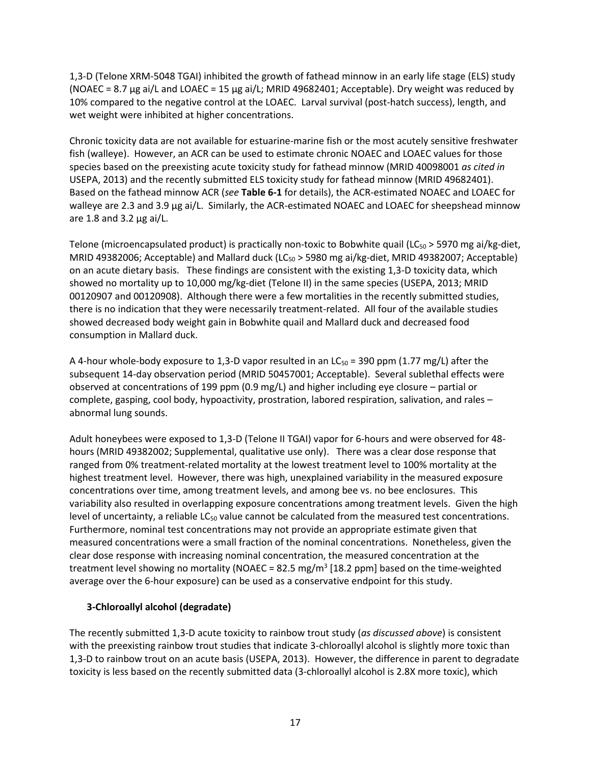1,3-D (Telone XRM-5048 TGAI) inhibited the growth of fathead minnow in an early life stage (ELS) study (NOAEC = 8.7  $\mu$ g ai/L and LOAEC = 15  $\mu$ g ai/L; MRID 49682401; Acceptable). Dry weight was reduced by 10% compared to the negative control at the LOAEC. Larval survival (post-hatch success), length, and wet weight were inhibited at higher concentrations.

Chronic toxicity data are not available for estuarine-marine fish or the most acutely sensitive freshwater fish (walleye). However, an ACR can be used to estimate chronic NOAEC and LOAEC values for those species based on the preexisting acute toxicity study for fathead minnow (MRID 40098001 *as cited in* USEPA, 2013) and the recently submitted ELS toxicity study for fathead minnow (MRID 49682401). Based on the fathead minnow ACR (*see* **Table 6-1** for details), the ACR-estimated NOAEC and LOAEC for walleye are 2.3 and 3.9 μg ai/L. Similarly, the ACR-estimated NOAEC and LOAEC for sheepshead minnow are 1.8 and 3.2 μg ai/L.

Telone (microencapsulated product) is practically non-toxic to Bobwhite quail ( $LC_{50}$  > 5970 mg ai/kg-diet, MRID 49382006; Acceptable) and Mallard duck (LC $_{50}$  > 5980 mg ai/kg-diet, MRID 49382007; Acceptable) on an acute dietary basis. These findings are consistent with the existing 1,3-D toxicity data, which showed no mortality up to 10,000 mg/kg-diet (Telone II) in the same species (USEPA, 2013; MRID 00120907 and 00120908). Although there were a few mortalities in the recently submitted studies, there is no indication that they were necessarily treatment-related. All four of the available studies showed decreased body weight gain in Bobwhite quail and Mallard duck and decreased food consumption in Mallard duck.

A 4-hour whole-body exposure to 1,3-D vapor resulted in an  $LC_{50}$  = 390 ppm (1.77 mg/L) after the subsequent 14-day observation period (MRID 50457001; Acceptable). Several sublethal effects were observed at concentrations of 199 ppm (0.9 mg/L) and higher including eye closure – partial or complete, gasping, cool body, hypoactivity, prostration, labored respiration, salivation, and rales – abnormal lung sounds.

Adult honeybees were exposed to 1,3-D (Telone II TGAI) vapor for 6-hours and were observed for 48 hours (MRID 49382002; Supplemental, qualitative use only). There was a clear dose response that ranged from 0% treatment-related mortality at the lowest treatment level to 100% mortality at the highest treatment level. However, there was high, unexplained variability in the measured exposure concentrations over time, among treatment levels, and among bee vs. no bee enclosures. This variability also resulted in overlapping exposure concentrations among treatment levels. Given the high level of uncertainty, a reliable  $LC_{50}$  value cannot be calculated from the measured test concentrations. Furthermore, nominal test concentrations may not provide an appropriate estimate given that measured concentrations were a small fraction of the nominal concentrations. Nonetheless, given the clear dose response with increasing nominal concentration, the measured concentration at the treatment level showing no mortality (NOAEC = 82.5 mg/m<sup>3</sup> [18.2 ppm] based on the time-weighted average over the 6-hour exposure) can be used as a conservative endpoint for this study.

### **3-Chloroallyl alcohol (degradate)**

The recently submitted 1,3-D acute toxicity to rainbow trout study (*as discussed above*) is consistent with the preexisting rainbow trout studies that indicate 3-chloroallyl alcohol is slightly more toxic than 1,3-D to rainbow trout on an acute basis (USEPA, 2013). However, the difference in parent to degradate toxicity is less based on the recently submitted data (3-chloroallyl alcohol is 2.8X more toxic), which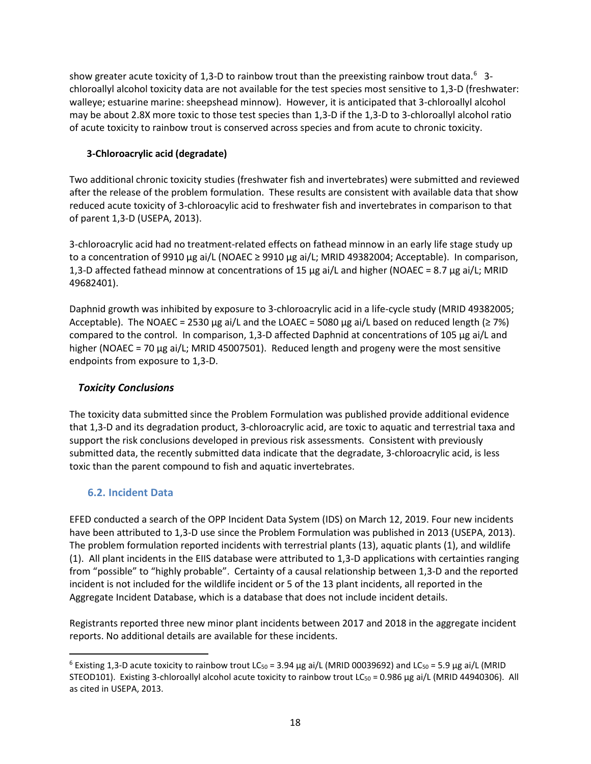show greater acute toxicity of 1,3-D to rainbow trout than the preexisting rainbow trout data.<sup>[6](#page-17-0)</sup> 3chloroallyl alcohol toxicity data are not available for the test species most sensitive to 1,3-D (freshwater: walleye; estuarine marine: sheepshead minnow). However, it is anticipated that 3-chloroallyl alcohol may be about 2.8X more toxic to those test species than 1,3-D if the 1,3-D to 3-chloroallyl alcohol ratio of acute toxicity to rainbow trout is conserved across species and from acute to chronic toxicity.

## **3-Chloroacrylic acid (degradate)**

Two additional chronic toxicity studies (freshwater fish and invertebrates) were submitted and reviewed after the release of the problem formulation. These results are consistent with available data that show reduced acute toxicity of 3-chloroacylic acid to freshwater fish and invertebrates in comparison to that of parent 1,3-D (USEPA, 2013).

3-chloroacrylic acid had no treatment-related effects on fathead minnow in an early life stage study up to a concentration of 9910 μg ai/L (NOAEC ≥ 9910 μg ai/L; MRID 49382004; Acceptable). In comparison, 1,3-D affected fathead minnow at concentrations of 15 μg ai/L and higher (NOAEC = 8.7 μg ai/L; MRID 49682401).

Daphnid growth was inhibited by exposure to 3-chloroacrylic acid in a life-cycle study (MRID 49382005; Acceptable). The NOAEC = 2530 μg ai/L and the LOAEC = 5080 μg ai/L based on reduced length ( $\geq$  7%) compared to the control. In comparison, 1,3-D affected Daphnid at concentrations of 105 μg ai/L and higher (NOAEC = 70 μg ai/L; MRID 45007501). Reduced length and progeny were the most sensitive endpoints from exposure to 1,3-D.

## *Toxicity Conclusions*

The toxicity data submitted since the Problem Formulation was published provide additional evidence that 1,3-D and its degradation product, 3-chloroacrylic acid, are toxic to aquatic and terrestrial taxa and support the risk conclusions developed in previous risk assessments. Consistent with previously submitted data, the recently submitted data indicate that the degradate, 3-chloroacrylic acid, is less toxic than the parent compound to fish and aquatic invertebrates.

## **6.2. Incident Data**

EFED conducted a search of the OPP Incident Data System (IDS) on March 12, 2019. Four new incidents have been attributed to 1,3-D use since the Problem Formulation was published in 2013 (USEPA, 2013). The problem formulation reported incidents with terrestrial plants (13), aquatic plants (1), and wildlife (1). All plant incidents in the EIIS database were attributed to 1,3-D applications with certainties ranging from "possible" to "highly probable". Certainty of a causal relationship between 1,3-D and the reported incident is not included for the wildlife incident or 5 of the 13 plant incidents, all reported in the Aggregate Incident Database, which is a database that does not include incident details.

Registrants reported three new minor plant incidents between 2017 and 2018 in the aggregate incident reports. No additional details are available for these incidents.

<span id="page-17-0"></span> $\overline{a}$  $6$  Existing 1,3-D acute toxicity to rainbow trout LC<sub>50</sub> = 3.94 μg ai/L (MRID 00039692) and LC<sub>50</sub> = 5.9 μg ai/L (MRID STEOD101). Existing 3-chloroallyl alcohol acute toxicity to rainbow trout LC<sub>50</sub> = 0.986 µg ai/L (MRID 44940306). All as cited in USEPA, 2013.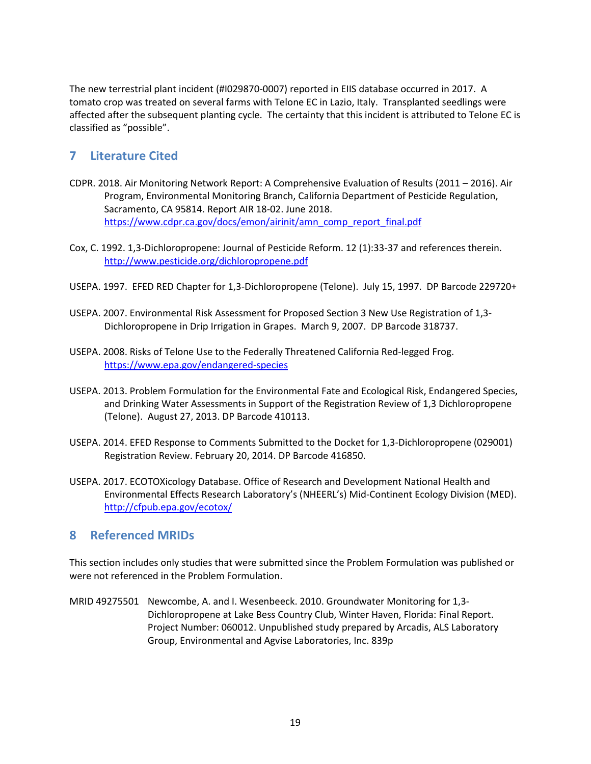The new terrestrial plant incident (#I029870-0007) reported in EIIS database occurred in 2017. A tomato crop was treated on several farms with Telone EC in Lazio, Italy. Transplanted seedlings were affected after the subsequent planting cycle. The certainty that this incident is attributed to Telone EC is classified as "possible".

# **7 Literature Cited**

- CDPR. 2018. Air Monitoring Network Report: A Comprehensive Evaluation of Results (2011 2016). Air Program, Environmental Monitoring Branch, California Department of Pesticide Regulation, Sacramento, CA 95814. Report AIR 18-02. June 2018. [https://www.cdpr.ca.gov/docs/emon/airinit/amn\\_comp\\_report\\_final.pdf](https://www.cdpr.ca.gov/docs/emon/airinit/amn_comp_report_final.pdf)
- Cox, C. 1992. 1,3-Dichloropropene: Journal of Pesticide Reform. 12 (1):33-37 and references therein. http://www.pesticide.org/dichloropropene.pdf
- USEPA. 1997. EFED RED Chapter for 1,3-Dichloropropene (Telone). July 15, 1997. DP Barcode 229720+
- USEPA. 2007. Environmental Risk Assessment for Proposed Section 3 New Use Registration of 1,3- Dichloropropene in Drip Irrigation in Grapes. March 9, 2007. DP Barcode 318737.
- USEPA. 2008. Risks of Telone Use to the Federally Threatened California Red-legged Frog. https://www.epa.gov/endangered-species
- USEPA. 2013. Problem Formulation for the Environmental Fate and Ecological Risk, Endangered Species, and Drinking Water Assessments in Support of the Registration Review of 1,3 Dichloropropene (Telone). August 27, 2013. DP Barcode 410113.
- USEPA. 2014. EFED Response to Comments Submitted to the Docket for 1,3-Dichloropropene (029001) Registration Review. February 20, 2014. DP Barcode 416850.
- USEPA. 2017. ECOTOXicology Database. Office of Research and Development National Health and Environmental Effects Research Laboratory's (NHEERL's) Mid-Continent Ecology Division (MED). http://cfpub.epa.gov/ecotox/

## **8 Referenced MRIDs**

This section includes only studies that were submitted since the Problem Formulation was published or were not referenced in the Problem Formulation.

MRID 49275501 Newcombe, A. and I. Wesenbeeck. 2010. Groundwater Monitoring for 1,3- Dichloropropene at Lake Bess Country Club, Winter Haven, Florida: Final Report. Project Number: 060012. Unpublished study prepared by Arcadis, ALS Laboratory Group, Environmental and Agvise Laboratories, Inc. 839p